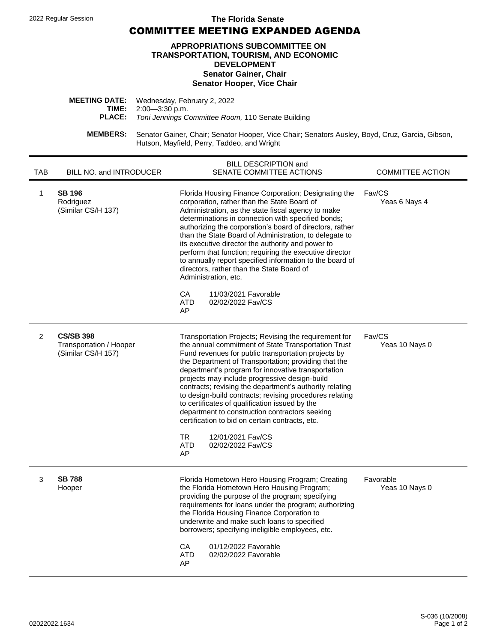## 2022 Regular Session **The Florida Senate**

COMMITTEE MEETING EXPANDED AGENDA

## **APPROPRIATIONS SUBCOMMITTEE ON TRANSPORTATION, TOURISM, AND ECONOMIC DEVELOPMENT Senator Gainer, Chair Senator Hooper, Vice Chair**

| <b>MEETING DATE:</b> Wednesday, February 2, 2022                |
|-----------------------------------------------------------------|
| <b>TIME:</b> $2:00-3:30$ p.m.                                   |
| <b>PLACE:</b> Toni Jennings Committee Room, 110 Senate Building |
|                                                                 |

**MEMBERS:** Senator Gainer, Chair; Senator Hooper, Vice Chair; Senators Ausley, Boyd, Cruz, Garcia, Gibson, Hutson, Mayfield, Perry, Taddeo, and Wright

| <b>TAB</b>     | BILL NO. and INTRODUCER                                           | BILL DESCRIPTION and<br>SENATE COMMITTEE ACTIONS                                                                                                                                                                                                                                                                                                                                                                                                                                                                                                                                                                                                                                     | <b>COMMITTEE ACTION</b>     |
|----------------|-------------------------------------------------------------------|--------------------------------------------------------------------------------------------------------------------------------------------------------------------------------------------------------------------------------------------------------------------------------------------------------------------------------------------------------------------------------------------------------------------------------------------------------------------------------------------------------------------------------------------------------------------------------------------------------------------------------------------------------------------------------------|-----------------------------|
| 1              | <b>SB 196</b><br>Rodriguez<br>(Similar CS/H 137)                  | Florida Housing Finance Corporation; Designating the<br>corporation, rather than the State Board of<br>Administration, as the state fiscal agency to make<br>determinations in connection with specified bonds;<br>authorizing the corporation's board of directors, rather<br>than the State Board of Administration, to delegate to<br>its executive director the authority and power to<br>perform that function; requiring the executive director<br>to annually report specified information to the board of<br>directors, rather than the State Board of<br>Administration, etc.<br>CA<br>11/03/2021 Favorable<br><b>ATD</b><br>02/02/2022 Fav/CS<br>AP                        | Fav/CS<br>Yeas 6 Nays 4     |
| $\overline{2}$ | <b>CS/SB 398</b><br>Transportation / Hooper<br>(Similar CS/H 157) | Transportation Projects; Revising the requirement for<br>the annual commitment of State Transportation Trust<br>Fund revenues for public transportation projects by<br>the Department of Transportation; providing that the<br>department's program for innovative transportation<br>projects may include progressive design-build<br>contracts; revising the department's authority relating<br>to design-build contracts; revising procedures relating<br>to certificates of qualification issued by the<br>department to construction contractors seeking<br>certification to bid on certain contracts, etc.<br>TR.<br>12/01/2021 Fav/CS<br><b>ATD</b><br>02/02/2022 Fay/CS<br>AP | Fav/CS<br>Yeas 10 Nays 0    |
| 3              | <b>SB 788</b><br>Hooper                                           | Florida Hometown Hero Housing Program; Creating<br>the Florida Hometown Hero Housing Program;<br>providing the purpose of the program; specifying<br>requirements for loans under the program; authorizing<br>the Florida Housing Finance Corporation to<br>underwrite and make such loans to specified<br>borrowers; specifying ineligible employees, etc.<br>CA<br>01/12/2022 Favorable<br>ATD<br>02/02/2022 Favorable<br>AP                                                                                                                                                                                                                                                       | Favorable<br>Yeas 10 Nays 0 |